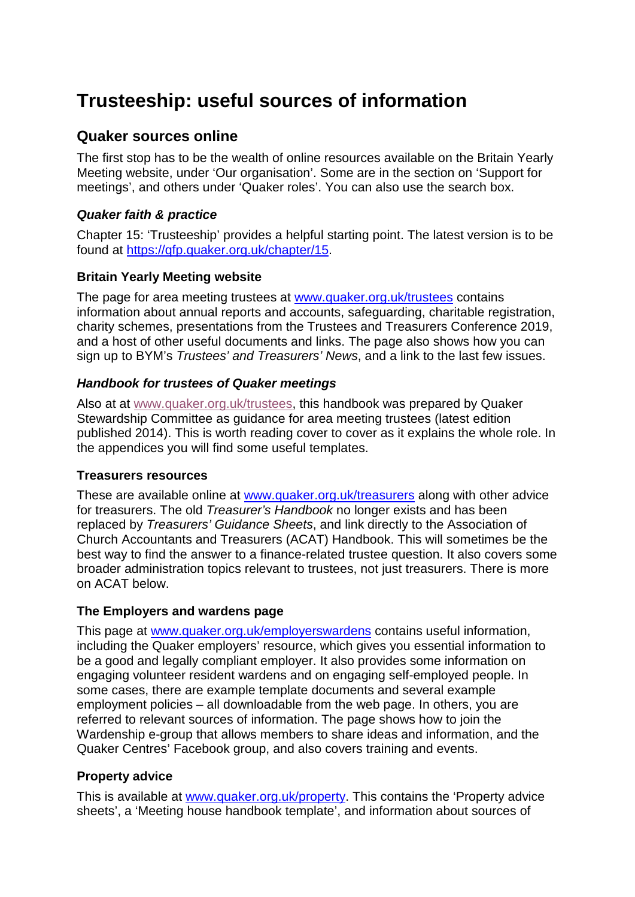# **Trusteeship: useful sources of information**

## **Quaker sources online**

The first stop has to be the wealth of online resources available on the Britain Yearly Meeting website, under 'Our organisation'. Some are in the section on 'Support for meetings', and others under 'Quaker roles'. You can also use the search box.

## *Quaker faith & practice*

Chapter 15: 'Trusteeship' provides a helpful starting point. The latest version is to be found at [https://qfp.quaker.org.uk/chapter/15.](https://qfp.quaker.org.uk/chapter/15)

## **Britain Yearly Meeting website**

The page for area meeting trustees at [www.quaker.org.uk/trustees](http://www.quaker.org.uk/trustees) contains information about annual reports and accounts, safeguarding, charitable registration, charity schemes, presentations from the Trustees and Treasurers Conference 2019, and a host of other useful documents and links. The page also shows how you can sign up to BYM's *Trustees' and Treasurers' News*, and a link to the last few issues.

## *Handbook for trustees of Quaker meetings*

Also at at [www.quaker.org.uk/trustees,](http://www.quaker.org.uk/trustees) this handbook was prepared by Quaker Stewardship Committee as guidance for area meeting trustees (latest edition published 2014). This is worth reading cover to cover as it explains the whole role. In the appendices you will find some useful templates.

## **Treasurers resources**

These are available online at [www.quaker.org.uk/treasurers](http://www.quaker.org.uk/treasurers) along with other advice for treasurers. The old *Treasurer's Handbook* no longer exists and has been replaced by *Treasurers' Guidance Sheets*, and link directly to the Association of Church Accountants and Treasurers (ACAT) Handbook. This will sometimes be the best way to find the answer to a finance-related trustee question. It also covers some broader administration topics relevant to trustees, not just treasurers. There is more on ACAT below.

## **The Employers and wardens page**

This page at [www.quaker.org.uk/employerswardens](http://www.quaker.org.uk/employerswardens) contains useful information, including the Quaker employers' resource, which gives you essential information to be a good and legally compliant employer. It also provides some information on engaging volunteer resident wardens and on engaging self-employed people. In some cases, there are example template documents and several example employment policies – all downloadable from the web page. In others, you are referred to relevant sources of information. The page shows how to join the Wardenship e-group that allows members to share ideas and information, and the Quaker Centres' Facebook group, and also covers training and events.

## **Property advice**

This is available at [www.quaker.org.uk/property.](http://www.quaker.org.uk/property) This contains the 'Property advice sheets', a 'Meeting house handbook template', and information about sources of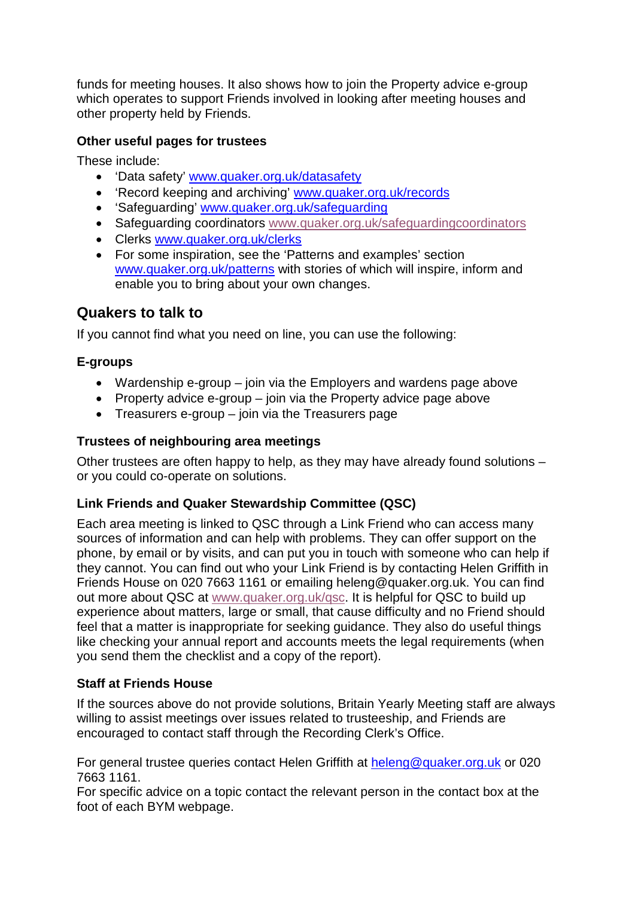funds for meeting houses. It also shows how to join the Property advice e-group which operates to support Friends involved in looking after meeting houses and other property held by Friends.

## **Other useful pages for trustees**

These include:

- 'Data safety' [www.quaker.org.uk/datasafety](http://www.quaker.org.uk/datasafety)
- 'Record keeping and archiving' [www.quaker.org.uk/records](http://www.quaker.org.uk/records)
- 'Safeguarding' [www.quaker.org.uk/safeguarding](http://www.quaker.org.uk/safeguarding)
- Safeguarding coordinators [www.quaker.org.uk/safeguardingcoordinators](http://www.quaker.org.uk/safeguardingcoordinators)
- Clerks [www.quaker.org.uk/clerks](http://www.quaker.org.uk/clerks)
- For some inspiration, see the 'Patterns and examples' section [www.quaker.org.uk/patterns](http://www.quaker.org.uk/patterns) with stories of which will inspire, inform and enable you to bring about your own changes.

## **Quakers to talk to**

If you cannot find what you need on line, you can use the following:

## **E-groups**

- Wardenship e-group join via the Employers and wardens page above
- Property advice e-group join via the Property advice page above
- Treasurers e-group join via the Treasurers page

#### **Trustees of neighbouring area meetings**

Other trustees are often happy to help, as they may have already found solutions – or you could co-operate on solutions.

## **Link Friends and Quaker Stewardship Committee (QSC)**

Each area meeting is linked to QSC through a Link Friend who can access many sources of information and can help with problems. They can offer support on the phone, by email or by visits, and can put you in touch with someone who can help if they cannot. You can find out who your Link Friend is by contacting Helen Griffith in Friends House on 020 7663 1161 or emailing [heleng@quaker.org.uk.](mailto:heleng@quaker.org.uk) You can find out more about QSC at [www.quaker.org.uk/qsc.](http://www.quaker.org.uk/qsc) It is helpful for QSC to build up experience about matters, large or small, that cause difficulty and no Friend should feel that a matter is inappropriate for seeking guidance. They also do useful things like checking your annual report and accounts meets the legal requirements (when you send them the checklist and a copy of the report).

## **Staff at Friends House**

If the sources above do not provide solutions, Britain Yearly Meeting staff are always willing to assist meetings over issues related to trusteeship, and Friends are encouraged to contact staff through the Recording Clerk's Office.

For general trustee queries contact Helen Griffith at [heleng@quaker.org.uk](mailto:heleng@quaker.org.uk) or 020 7663 1161.

For specific advice on a topic contact the relevant person in the contact box at the foot of each BYM webpage.